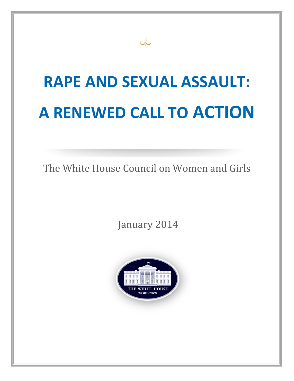# **RAPE AND SEXUAL ASSAULT: A RENEWED CALL TO ACTION**

The White House Council on Women and Girls

January 2014



Jo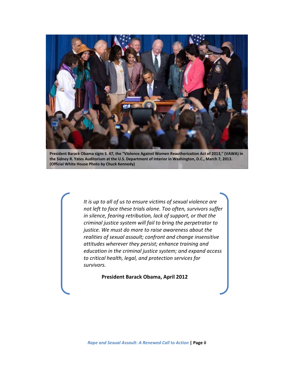

**President Barack Obama signs S. 47, the "Violence Against Women Reauthorization Act of 2013," (VAWA) in the Sidney R. Yates Auditorium at the U.S. Department of Interior in Washington, D.C., March 7, 2013. (Official White House Photo by Chuck Kennedy)**

 *It is up to all of us to ensure victims of sexual violence are not left to face these trials alone. Too often, survivors suffer in silence, fearing retribution, lack of support, or that the criminal justice system will fail to bring the perpetrator to justice. We must do more to raise awareness about the realities of sexual assault; confront and change insensitive attitudes wherever they persist; enhance training and education in the criminal justice system; and expand access to critical health, legal, and protection services for survivors.* 

**President Barack Obama, April 2012**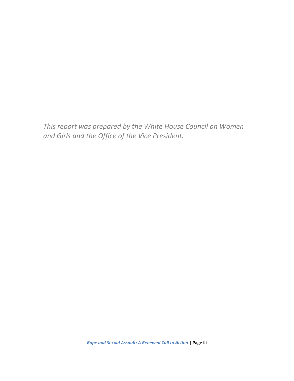*This report was prepared by the White House Council on Women and Girls and the Office of the Vice President.*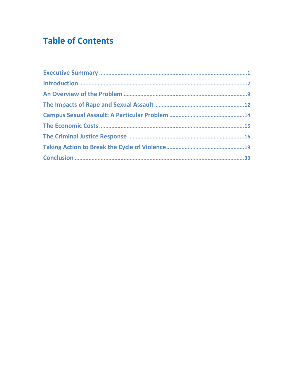# **Table of Contents**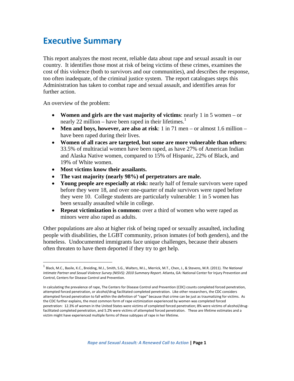### **Executive Summary**

This report analyzes the most recent, reliable data about rape and sexual assault in our country. It identifies those most at risk of being victims of these crimes, examines the cost of this violence (both to survivors and our communities), and describes the response, too often inadequate, of the criminal justice system. The report catalogues steps this Administration has taken to combat rape and sexual assault, and identifies areas for further action.

An overview of the problem:

- **Women and girls are the vast majority of victims**: nearly 1 in 5 women or nearly 22 million – have been raped in their lifetimes.<sup>1</sup>
- **Men and boys, however, are also at risk**: 1 in 71 men or almost 1.6 million have been raped during their lives.
- **Women of all races are targeted, but some are more vulnerable than others:** 33.5% of multiracial women have been raped, as have 27% of American Indian and Alaska Native women, compared to 15% of Hispanic, 22% of Black, and 19% of White women.
- **Most victims know their assailants.**
- **The vast majority (nearly 98%) of perpetrators are male.**
- **Young people are especially at risk:** nearly half of female survivors were raped before they were 18, and over one-quarter of male survivors were raped before they were 10. College students are particularly vulnerable: 1 in 5 women has been sexually assaulted while in college.
- **Repeat victimization is common:** over a third of women who were raped as minors were also raped as adults.

Other populations are also at higher risk of being raped or sexually assaulted, including people with disabilities, the LGBT community, prison inmates (of both genders), and the homeless. Undocumented immigrants face unique challenges, because their abusers often threaten to have them deported if they try to get help.

<sup>1</sup> Black, M.C., Basile, K.C., Breiding, M.J., Smith, S.G., Walters, M.L., Merrick, M.T., Chen, J., & Stevens, M.R. (2011). *The National Intimate Partner and Sexual Violence Survey (NISVS): 2010 Summary Report.* Atlanta, GA: National Center for Injury Prevention and Control, Centers for Disease Control and Prevention.

In calculating the prevalence of rape, The Centers for Disease Control and Prevention (CDC) counts completed forced penetration, attempted forced penetration, or alcohol/drug facilitated completed penetration. Like other researchers, the CDC considers attempted forced penetration to fall within the definition of "rape" because that crime can be just as traumatizing for victims. As the CDC further explains, the most common form of rape victimization experienced by women was completed forced penetration: 12.3% of women in the United States were victims of completed forced penetration; 8% were victims of alcohol/drugfacilitated completed penetration, and 5.2% were victims of attempted forced penetration. These are lifetime estimates and a victim might have experienced multiple forms of these subtypes of rape in her lifetime.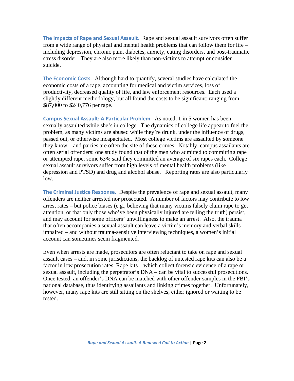**The Impacts of Rape and Sexual Assault**. Rape and sexual assault survivors often suffer from a wide range of physical and mental health problems that can follow them for life – including depression, chronic pain, diabetes, anxiety, eating disorders, and post-traumatic stress disorder. They are also more likely than non-victims to attempt or consider suicide.

**The Economic Costs**. Although hard to quantify, several studies have calculated the economic costs of a rape, accounting for medical and victim services, loss of productivity, decreased quality of life, and law enforcement resources. Each used a slightly different methodology, but all found the costs to be significant: ranging from \$87,000 to \$240,776 per rape.

**Campus Sexual Assault: A Particular Problem**. As noted, 1 in 5 women has been sexually assaulted while she's in college. The dynamics of college life appear to fuel the problem, as many victims are abused while they're drunk, under the influence of drugs, passed out, or otherwise incapacitated. Most college victims are assaulted by someone they know – and parties are often the site of these crimes. Notably, campus assailants are often serial offenders: one study found that of the men who admitted to committing rape or attempted rape, some 63% said they committed an average of six rapes each. College sexual assault survivors suffer from high levels of mental health problems (like depression and PTSD) and drug and alcohol abuse. Reporting rates are also particularly low.

**The Criminal Justice Response**. Despite the prevalence of rape and sexual assault, many offenders are neither arrested nor prosecuted. A number of factors may contribute to low arrest rates – but police biases (e.g., believing that many victims falsely claim rape to get attention, or that only those who've been physically injured are telling the truth) persist, and may account for some officers' unwillingness to make an arrest. Also, the trauma that often accompanies a sexual assault can leave a victim's memory and verbal skills impaired – and without trauma-sensitive interviewing techniques, a women's initial account can sometimes seem fragmented.

Even when arrests are made, prosecutors are often reluctant to take on rape and sexual assault cases – and, in some jurisdictions, the backlog of untested rape kits can also be a factor in low prosecution rates. Rape kits – which collect forensic evidence of a rape or sexual assault, including the perpetrator's DNA – can be vital to successful prosecutions. Once tested, an offender's DNA can be matched with other offender samples in the FBI's national database, thus identifying assailants and linking crimes together. Unfortunately, however, many rape kits are still sitting on the shelves, either ignored or waiting to be tested.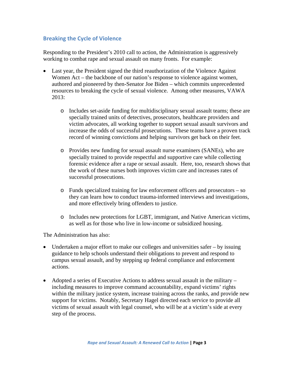### **Breaking the Cycle of Violence**

Responding to the President's 2010 call to action, the Administration is aggressively working to combat rape and sexual assault on many fronts. For example:

- Last year, the President signed the third reauthorization of the Violence Against Women Act – the backbone of our nation's response to violence against women, authored and pioneered by then-Senator Joe Biden – which commits unprecedented resources to breaking the cycle of sexual violence. Among other measures, VAWA 2013:
	- o Includes set-aside funding for multidisciplinary sexual assault teams; these are specially trained units of detectives, prosecutors, healthcare providers and victim advocates, all working together to support sexual assault survivors and increase the odds of successful prosecutions. These teams have a proven track record of winning convictions and helping survivors get back on their feet.
	- o Provides new funding for sexual assault nurse examiners (SANEs), who are specially trained to provide respectful and supportive care while collecting forensic evidence after a rape or sexual assault. Here, too, research shows that the work of these nurses both improves victim care and increases rates of successful prosecutions.
	- o Funds specialized training for law enforcement officers and prosecutors so they can learn how to conduct trauma-informed interviews and investigations, and more effectively bring offenders to justice.
	- o Includes new protections for LGBT, immigrant, and Native American victims, as well as for those who live in low-income or subsidized housing.

The Administration has also:

- Undertaken a major effort to make our colleges and universities safer by issuing guidance to help schools understand their obligations to prevent and respond to campus sexual assault, and by stepping up federal compliance and enforcement actions.
- Adopted a series of Executive Actions to address sexual assault in the military including measures to improve command accountability, expand victims' rights within the military justice system, increase training across the ranks, and provide new support for victims. Notably, Secretary Hagel directed each service to provide all victims of sexual assault with legal counsel, who will be at a victim's side at every step of the process.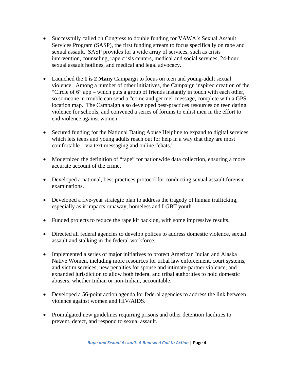- Successfully called on Congress to double funding for VAWA's Sexual Assault Services Program (SASP), the first funding stream to focus specifically on rape and sexual assault. SASP provides for a wide array of services, such as crisis intervention, counseling, rape crisis centers, medical and social services, 24-hour sexual assault hotlines, and medical and legal advocacy.
- Launched the **1 is 2 Many** Campaign to focus on teen and young-adult sexual violence. Among a number of other initiatives, the Campaign inspired creation of the "Circle of 6" app – which puts a group of friends instantly in touch with each other, so someone in trouble can send a "come and get me" message, complete with a GPS location map. The Campaign also developed best-practices resources on teen dating violence for schools, and convened a series of forums to enlist men in the effort to end violence against women.
- Secured funding for the National Dating Abuse Helpline to expand to digital services, which lets teens and young adults reach out for help in a way that they are most comfortable – via text messaging and online "chats."
- Modernized the definition of "rape" for nationwide data collection, ensuring a more accurate account of the crime.
- Developed a national, best-practices protocol for conducting sexual assault forensic examinations.
- Developed a five-year strategic plan to address the tragedy of human trafficking, especially as it impacts runaway, homeless and LGBT youth.
- Funded projects to reduce the rape kit backlog, with some impressive results.
- Directed all federal agencies to develop polices to address domestic violence, sexual assault and stalking in the federal workforce.
- Implemented a series of major initiatives to protect American Indian and Alaska Native Women, including more resources for tribal law enforcement, court systems, and victim services; new penalties for spouse and intimate-partner violence; and expanded jurisdiction to allow both federal and tribal authorities to hold domestic abusers, whether Indian or non-Indian, accountable.
- Developed a 56-point action agenda for federal agencies to address the link between violence against women and HIV/AIDS.
- Promulgated new guidelines requiring prisons and other detention facilities to prevent, detect, and respond to sexual assault.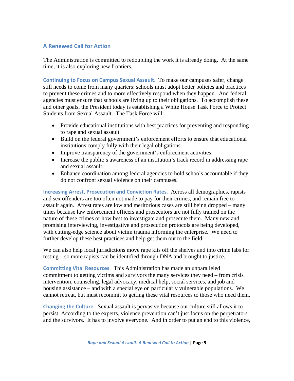### **A Renewed Call for Action**

The Administration is committed to redoubling the work it is already doing. At the same time, it is also exploring new frontiers.

**Continuing to Focus on Campus Sexual Assault**. To make our campuses safer, change still needs to come from many quarters: schools must adopt better policies and practices to prevent these crimes and to more effectively respond when they happen. And federal agencies must ensure that schools are living up to their obligations. To accomplish these and other goals, the President today is establishing a White House Task Force to Protect Students from Sexual Assault. The Task Force will:

- Provide educational institutions with best practices for preventing and responding to rape and sexual assault.
- Build on the federal government's enforcement efforts to ensure that educational institutions comply fully with their legal obligations.
- Improve transparency of the government's enforcement activities.
- Increase the public's awareness of an institution's track record in addressing rape and sexual assault.
- Enhance coordination among federal agencies to hold schools accountable if they do not confront sexual violence on their campuses.

**Increasing Arrest, Prosecution and Conviction Rates**. Across all demographics, rapists and sex offenders are too often not made to pay for their crimes, and remain free to assault again. Arrest rates are low and meritorious cases are still being dropped – many times because law enforcement officers and prosecutors are not fully trained on the nature of these crimes or how best to investigate and prosecute them. Many new and promising interviewing, investigative and prosecution protocols are being developed, with cutting-edge science about victim trauma informing the enterprise. We need to further develop these best practices and help get them out to the field.

We can also help local jurisdictions move rape kits off the shelves and into crime labs for testing – so more rapists can be identified through DNA and brought to justice.

**Committing Vital Resources**. This Administration has made an unparalleled commitment to getting victims and survivors the many services they need – from crisis intervention, counseling, legal advocacy, medical help, social services, and job and housing assistance – and with a special eye on particularly vulnerable populations. We cannot retreat, but must recommit to getting these vital resources to those who need them.

**Changing the Culture**. Sexual assault is pervasive because our culture still allows it to persist. According to the experts, violence prevention can't just focus on the perpetrators and the survivors. It has to involve everyone. And in order to put an end to this violence,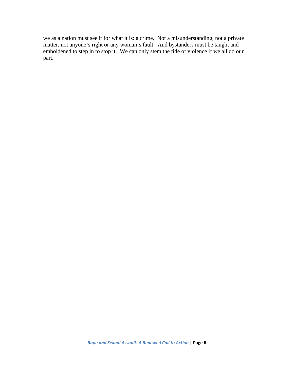we as a nation must see it for what it is: a crime. Not a misunderstanding, not a private matter, not anyone's right or any woman's fault. And bystanders must be taught and emboldened to step in to stop it. We can only stem the tide of violence if we all do our part.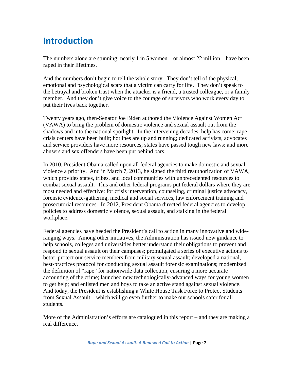# **Introduction**

The numbers alone are stunning: nearly 1 in 5 women – or almost 22 million – have been raped in their lifetimes.

And the numbers don't begin to tell the whole story. They don't tell of the physical, emotional and psychological scars that a victim can carry for life. They don't speak to the betrayal and broken trust when the attacker is a friend, a trusted colleague, or a family member. And they don't give voice to the courage of survivors who work every day to put their lives back together.

Twenty years ago, then-Senator Joe Biden authored the Violence Against Women Act (VAWA) to bring the problem of domestic violence and sexual assault out from the shadows and into the national spotlight. In the intervening decades, help has come: rape crisis centers have been built; hotlines are up and running; dedicated activists, advocates and service providers have more resources; states have passed tough new laws; and more abusers and sex offenders have been put behind bars.

In 2010, President Obama called upon all federal agencies to make domestic and sexual violence a priority. And in March 7, 2013, he signed the third reauthorization of VAWA, which provides states, tribes, and local communities with unprecedented resources to combat sexual assault. This and other federal programs put federal dollars where they are most needed and effective: for crisis intervention, counseling, criminal justice advocacy, forensic evidence-gathering, medical and social services, law enforcement training and prosecutorial resources. In 2012, President Obama directed federal agencies to develop policies to address domestic violence, sexual assault, and stalking in the federal workplace.

Federal agencies have heeded the President's call to action in many innovative and wideranging ways. Among other initiatives, the Administration has issued new guidance to help schools, colleges and universities better understand their obligations to prevent and respond to sexual assault on their campuses; promulgated a series of executive actions to better protect our service members from military sexual assault; developed a national, best-practices protocol for conducting sexual assault forensic examinations; modernized the definition of "rape" for nationwide data collection, ensuring a more accurate accounting of the crime; launched new technologically-advanced ways for young women to get help; and enlisted men and boys to take an active stand against sexual violence. And today, the President is establishing a White House Task Force to Protect Students from Sexual Assault – which will go even further to make our schools safer for all students.

More of the Administration's efforts are catalogued in this report – and they are making a real difference.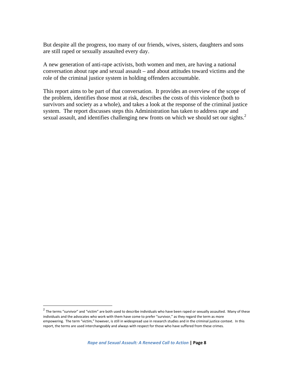But despite all the progress, too many of our friends, wives, sisters, daughters and sons are still raped or sexually assaulted every day.

A new generation of anti-rape activists, both women and men, are having a national conversation about rape and sexual assault – and about attitudes toward victims and the role of the criminal justice system in holding offenders accountable.

This report aims to be part of that conversation. It provides an overview of the scope of the problem, identifies those most at risk, describes the costs of this violence (both to survivors and society as a whole), and takes a look at the response of the criminal justice system. The report discusses steps this Administration has taken to address rape and sexual assault, and identifies challenging new fronts on which we should set our sights.<sup>2</sup>

 $2$  The terms "survivor" and "victim" are both used to describe individuals who have been raped or sexually assaulted. Many of these individuals and the advocates who work with them have come to prefer "survivor," as they regard the term as more empowering. The term "victim," however, is still in widespread use in research studies and in the criminal justice context. In this report, the terms are used interchangeably and always with respect for those who have suffered from these crimes.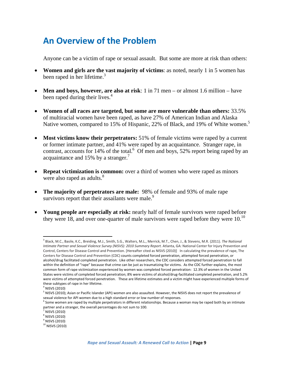# **An Overview of the Problem**

Anyone can be a victim of rape or sexual assault. But some are more at risk than others:

- **Women and girls are the vast majority of victims**: as noted, nearly 1 in 5 women has been raped in her lifetime.<sup>3</sup>
- **Men and boys, however, are also at risk**: 1 in 71 men or almost 1.6 million have been raped during their lives. $4$
- **Women of all races are targeted, but some are more vulnerable than others:** 33.5% of multiracial women have been raped, as have 27% of American Indian and Alaska Native women, compared to 15% of Hispanic, 22% of Black, and 19% of White women.<sup>5</sup>
- **Most victims know their perpetrators:** 51% of female victims were raped by a current or former intimate partner, and 41% were raped by an acquaintance. Stranger rape, in contrast, accounts for  $14\%$  of the total.<sup>6</sup> Of men and boys, 52% report being raped by an acquaintance and 15% by a stranger.<sup>7</sup>
- **Repeat victimization is common:** over a third of women who were raped as minors were also raped as adults.<sup>8</sup>
- **The majority of perpetrators are male:** 98% of female and 93% of male rape survivors report that their assailants were male.<sup>9</sup>
- **Young people are especially at risk:** nearly half of female survivors were raped before they were 18, and over one-quarter of male survivors were raped before they were  $10<sup>10</sup>$

<sup>3</sup> Black, M.C., Basile, K.C., Breiding, M.J., Smith, S.G., Walters, M.L., Merrick, M.T., Chen, J., & Stevens, M.R. (2011). *The National Intimate Partner and Sexual Violence Survey (NISVS): 2010 Summary Report.* Atlanta, GA: National Center for Injury Prevention and Control, Centers for Disease Control and Prevention. [Hereafter cited as NISVS (2010)] In calculating the prevalence of rape, The Centers for Disease Control and Prevention (CDC) counts completed forced penetration, attempted forced penetration, or alcohol/drug facilitated completed penetration. Like other researchers, the CDC considers attempted forced penetration to fall within the definition of "rape" because that crime can be just as traumatizing for victims. As the CDC further explains, the most common form of rape victimization experienced by women was completed forced penetration: 12.3% of women in the United States were victims of completed forced penetration; 8% were victims of alcohol/drug‐facilitated completed penetration, and 5.2% were victims of attempted forced penetration. These are lifetime estimates and a victim might have experienced multiple forms of these subtypes of rape in her lifetime.

 $4$  NISVS (2010)

<sup>&</sup>lt;sup>5</sup> NISVS (2010); Asian or Pacific Islander (API) women are also assaulted. However, the NISVS does not report the prevalence of sexual violence for API women due to a high standard error or low number of responses.

 $^6$  Some women are raped by multiple perpetrators in different relationships. Because a woman may be raped both by an intimate partner and a stranger, the overall percentages do not sum to 100.

 $\frac{7}{8}$  NISVS (2010)<br> $\frac{8}{8}$  NISVS (2010)

<sup>9</sup> NISVS (2010)

<sup>&</sup>lt;sup>10</sup> NISVS (2010)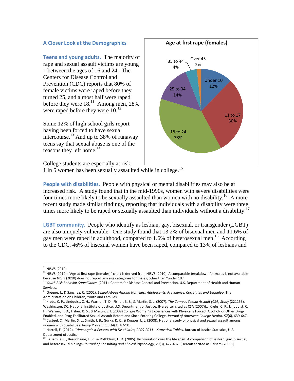#### **A Closer Look at the Demographics**

**Teens and young adults.** The majority of rape and sexual assault victims are young – between the ages of 16 and 24. The Centers for Disease Control and Prevention (CDC) reports that 80% of female victims were raped before they turned 25, and almost half were raped before they were  $18^{11}$  Among men, 28% were raped before they were  $10^{12}$ 

Some 12% of high school girls report having been forced to have sexual intercourse.13 And up to 38% of runaway teens say that sexual abuse is one of the reasons they left home. $14$ 



College students are especially at risk:

1 in 5 women has been sexually assaulted while in college.15

**People with disabilities.** People with physical or mental disabilities may also be at increased risk. A study found that in the mid-1990s, women with severe disabilities were four times more likely to be sexually assaulted than women with no disability.<sup>16</sup> A more recent study made similar findings, reporting that individuals with a disability were three times more likely to be raped or sexually assaulted than individuals without a disability.<sup>17</sup>

**LGBT community.** People who identify as lesbian, gay, bisexual, or transgender (LGBT) are also uniquely vulnerable. One study found that 13.2% of bisexual men and 11.6% of gay men were raped in adulthood, compared to 1.6% of heterosexual men.<sup>18</sup> According to the CDC, 46% of bisexual women have been raped, compared to 13% of lesbians and

 $11$  NISVS (2010)

<sup>12</sup> NISVS (2010); "Age at first rape (females)" chart is derived from NISVS (2010). A comparable breakdown for males is not available because NIVIS (2010) does not report any age categories for males, other than "under 10."<br><sup>13</sup> Youth Risk Behavior Surveillance. (2011). Centers for Disease Control and Prevention. U.S. Department of Health and Human

Services.

<sup>14</sup> Greene, J., & Sanchez, R. (2002). *Sexual Abuse Among Homeless Adolescents: Prevalence, Correlates and Sequelea*. The

Administration on Children, Youth and Families.<br><sup>15</sup> Krebs, C. P., Lindquist, C. H., Warner, T. D., Fisher, B. S., & Martin, S. L. (2007). The Campus Sexual Assault (CSA) Study (221153). Washington, DC: National Institute of Justice, U.S. Department of Justice. [Hereafter cited as CSA (2007)].; Krebs, C. P., Lindquist, C. H., Warner, T. D., Fisher, B. S., & Martin, S. L (2009) College Women's Experiences with Physically Forced, Alcohol‐ or Other Drug‐

Enabled, and Drug-Facilitated Sexual Assault Before and Since Entering College. Journal of American College Health, 57(6), 639-647.<br><sup>16</sup> Casteel, C., Martin, S. L., Smith, J. B., Gurka, K. K., & Kupper, L. L. (2008). Natio women with disabilities. *Injury Prevention*, *14*(2), 87‐90.

<sup>17</sup> Harrell, E. (2012). *Crime Against Persons with Disabilities, 2009‐2011 – Statistical Tables*. Bureau of Justice Statistics, U.S. Department of Justice.<br><sup>18</sup> Balsam, K. F., Beauchaine, T. P., & Rothblum, E. D. (2005). Victimization over the life span: A comparison of lesbian, gay, bisexual,

and heterosexual siblings. *Journal of Consulting and Clinical Psychology*, *73*(3), 477‐487. [Hereafter cited as Balsam (2005)]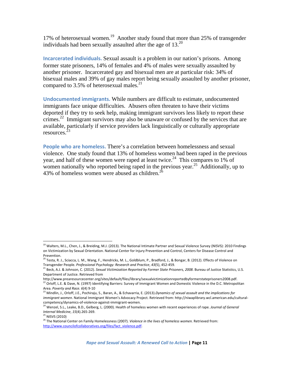17% of heterosexual women.<sup>19</sup> Another study found that more than 25% of transgender individuals had been sexually assaulted after the age of  $13.^{20}$ 

**Incarcerated individuals.** Sexual assault is a problem in our nation's prisons. Among former state prisoners, 14% of females and 4% of males were sexually assaulted by another prisoner. Incarcerated gay and bisexual men are at particular risk: 34% of bisexual males and 39% of gay males report being sexually assaulted by another prisoner, compared to 3.5% of heterosexual males.<sup>21</sup>

**Undocumented immigrants.** While numbers are difficult to estimate, undocumented immigrants face unique difficulties. Abusers often threaten to have their victims deported if they try to seek help, making immigrant survivors less likely to report these crimes.<sup>22</sup> Immigrant survivors may also be unaware or confused by the services that are available, particularly if service providers lack linguistically or culturally appropriate resources.<sup>2</sup>

**People who are homeless.** There's a correlation between homelessness and sexual violence. One study found that 13% of homeless women had been raped in the previous year, and half of these women were raped at least twice.<sup>24</sup> This compares to 1% of women nationally who reported being raped in the previous year.<sup>25</sup> Additionally, up to 43% of homeless women were abused as children.<sup>26</sup>

<sup>&</sup>lt;sup>19</sup> Walters, M.L., Chen, J., & Breiding, M.J. (2013). The National Intimate Partner and Sexual Violence Survey (NISVS): 2010 Findings on Victimization by Sexual Orientation. National Center for Injury Prevention and Control, Centers for Disease Control and Prevention.

<sup>&</sup>lt;sup>20</sup> Testa, R. J., Sciacca, L. M., Wang, F., Hendricks, M. L., Goldblum, P., Bradford, J., & Bongar, B. (2012). Effects of Violence on Transgender People. *Professional Psychology: Research and Practice*, *43*(5), 452‐459.

<sup>21</sup> Beck, A.J. & Johnson, C. (2012). *Sexual Victimization Reported by Former State Prisoners, 2008*. Bureau of Justice Statistics, U.S. Department of Justice. Retrieved from

http://www.prearesourcecenter.org/sites/default/files/library/sexualvictimizationreportedbyformerstateprisoners2008.pdf.  $^{22}$  Orloff, L.E. & Dave, N. (1997) Identifying Barriers: Survey of Immigrant Women and Domestic Violence in the D.C. Metropolitan Area. *Poverty and Race. 6*(4) 9‐10

<sup>23</sup> Mindlin, J., Orloff, J.E., Pochiraju, S., Baran, A., & Echavarria, E. (2013).*Dynamics of sexual assault and the implications for immigrant women*. National Immigrant Women's Advocacy Project. Retrieved from: http://niwaplibrary.wcl.american.edu/cultural‐ competency/dynamics‐of‐violence‐against‐immigrant‐women.

<sup>24</sup> Wenzel, S.L., Leake, B.D., Gelberg, L. (2000). Health of homeless women with recent experiences of rape. *Journal of General Internal Medicine, 15*(4).265-269.<br><sup>25</sup> NISVS (2010)

<sup>26</sup> The National Center on Family Homelessness (2007). *Violence in the lives of homeless women.* Retrieved from: http://www.councilofcollaboratives.org/files/fact\_violence.pdf.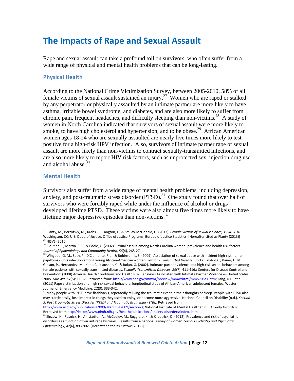# **The Impacts of Rape and Sexual Assault**

Rape and sexual assault can take a profound toll on survivors, who often suffer from a wide range of physical and mental health problems that can be long-lasting.

#### **Physical Health**

According to the National Crime Victimization Survey, between 2005-2010, 58% of all female victims of sexual assault sustained an injury.<sup>27</sup> Women who are raped or stalked by any perpetrator or physically assaulted by an intimate partner are more likely to have asthma, irritable bowel syndrome, and diabetes, and are also more likely to suffer from chronic pain, frequent headaches, and difficulty sleeping than non-victims.<sup>28</sup> A study of women in North Carolina indicated that survivors of sexual assault were more likely to smoke, to have high cholesterol and hypertension, and to be obese.<sup>29</sup> African American women ages 18-24 who are sexually assaulted are nearly five times more likely to test positive for a high-risk HPV infection. Also, survivors of intimate partner rape or sexual assault are more likely than non-victims to contract sexually-transmitted infections, and are also more likely to report HIV risk factors, such as unprotected sex, injection drug use and alcohol abuse.<sup>30</sup>

#### **Mental Health**

Survivors also suffer from a wide range of mental health problems, including depression, anxiety, and post-traumatic stress disorder  $(PTSD)$ .<sup>31</sup> One study found that over half of survivors who were forcibly raped while under the influence of alcohol or drugs developed lifetime PTSD. These victims were also almost five times more likely to have lifetime major depressive episodes than non-victims.<sup>32</sup>

<sup>27</sup> Planty, M., Berzofsky, M., Krebs, C., Langton, L., & Smiley‐McDonald, H. (2013). *Female victims of sexual violence, 1994‐2010*. Washington, DC: U.S. Dept. of Justice, Office of Justice Programs, Bureau of Justice Statistics. [Hereafter cited as Planty (2013)] <sup>28</sup> NISVS (2010)

<sup>29</sup> Cloutier, S., Martin, S. L., & Poole, C. (2002). Sexual assault among North Carolina women: prevalence and health risk factors. *Journal of Epidemiology and Community Health*, *56*(4), 265‐271.

<sup>&</sup>lt;sup>30</sup> Wingood, G. M., Seth, P., DiClemente, R. J., & Robinson, L. S. (2009). Association of sexual abuse with incident high-risk human papilloma‐ virus infection among young African‐American women. *Sexually Transmitted Disease*, *36*(12), 784‐786.; Bauer, H. M., Gibson, P., Hernandez, M., Kent, C., Klausner, K., & Bolan, G. (2002). Intimate partner violence and high‐risk sexual behaviors among female patients with sexually transmitted diseases. *Sexually Transmitted Diseases*, *29*(7), 411‐416.; Centers for Disease Control and Prevention. (2008) Adverse Health Conditions and Health Risk Behaviors Associated with Intimate Partner Violence ‐‐‐ United States, 2005. *MMWR*. *57*(5): 113‐7. Retrieved from: http://www.cdc.gov/mmwr/preview/mmwrhtml/mm5705a1.htm; Lang, D.L., et al. (2011) Rape victimization and high risk sexual behaviors: longitudinal study of African‐American adolescent females. Western Journal of Emergency Medicine. *12*(3), 333‐342.

<sup>&</sup>lt;sup>31</sup> Many people with PTSD have flashbacks, repeatedly reliving the traumatic event in their thoughts or sleep. People with PTSD also may startle easily, lose interest in things they used to enjoy, or become more aggressive. National Council on Disability (n.d.). *Section 3: Post Traumatic Stress Disorder (PTSD) and Traumatic Brain Injury (TBI)*. Retrieved from

http://www.ncd.gov/publications/2009/March042009/section3; National Institute of Mental Health (n.d.). *Anxiety Disorders*.

<sup>&</sup>lt;sup>32</sup> Zinzow, H., Resnick, H., Amstadter, A., McCauley, M., Ruggiero, K., & Kilpatrick, D. (2012). Prevalence and risk of psychiatric disorders as a function of variant rape histories: Results from a national survey of women. *Social Psychiatry and Psychiatric Epidemiology*, *47*(6), 893‐902. [Hereafter cited as Zinzow (2012)]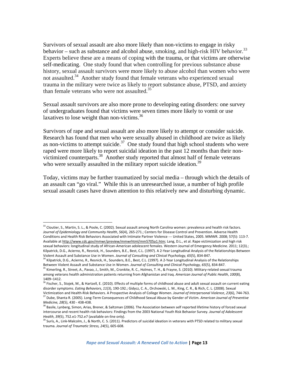Survivors of sexual assault are also more likely than non-victims to engage in risky behavior – such as substance and alcohol abuse, smoking, and high-risk HIV behavior.<sup>33</sup> Experts believe these are a means of coping with the trauma, or that victims are otherwise self-medicating. One study found that when controlling for previous substance abuse history, sexual assault survivors were more likely to abuse alcohol than women who were not assaulted.<sup>34</sup> Another study found that female veterans who experienced sexual trauma in the military were twice as likely to report substance abuse, PTSD, and anxiety than female veterans who were not assaulted.<sup>35</sup>

Sexual assault survivors are also more prone to developing eating disorders: one survey of undergraduates found that victims were seven times more likely to vomit or use laxatives to lose weight than non-victims. $36$ 

Survivors of rape and sexual assault are also more likely to attempt or consider suicide. Research has found that men who were sexually abused in childhood are twice as likely as non-victims to attempt suicide. $37$  One study found that high school students who were raped were more likely to report suicidal ideation in the past 12 months than their nonvictimized counterparts.38 Another study reported that almost half of female veterans who were sexually assaulted in the military report suicide ideation.<sup>39</sup>

Today, victims may be further traumatized by social media – through which the details of an assault can "go viral." While this is an unresearched issue, a number of high profile sexual assault cases have drawn attention to this relatively new and disturbing dynamic.

<sup>33</sup> Cloutier, S., Martin, S. L., & Poole, C. (2002). Sexual assault among North Carolina women: prevalence and health risk factors. *Journal of Epidemiology and Community Health*, *56*(4), 265‐271.; Centers for Disease Control and Prevention. Adverse Health Conditions and Health Risk Behaviors Associated with Intimate Partner Violence ‐‐‐ United States, 2005. MMWR. 2008; 57(5): 113‐7. Available at http://www.cdc.gov/mmwr/preview/mmwrhtml/mm5705a1.htm; Lang, D.L., et al. Rape victimization and high risk sexual behaviors: longitudinal study of African-American adolescent females. Western Journal of Emergency Medicine. 2011; 12(3).; Kilpatrick, D.G., Acierno, R., Resnick, H., Sounders, B.E., Best, C.L. (1997). A 2‐Year Longitudinal Analysis of the Relationships Between

Violent Assault and Substance Use in Women. Journal of Consulting and Clinical Psychology, 65(5), 834-847.<br><sup>34</sup> Kilpatrick, D.G., Acierno, R., Resnick, H., Sounders, B.E., Best, C.L. (1997). A 2-Year Longitudinal Analysis Between Violent Assault and Substance Use in Women. *Journal of Consulting and Clinical Psychology, 65*(5), 834‐847. <sup>35</sup> Kimerling, R., Street, A., Pavao, J., Smith, M., Cronkite, R. C., Holmes, T. H., & Frayne, S. (2010). Military-related sexual trauma among veterans health administration patients returning from Afghanistan and Iraq. *American Journal of Public Health*, *100*(8),

<sup>1409–1412.</sup>

<sup>&</sup>lt;sup>36</sup> Fischer, S., Stojek, M., & Hartzell, E. (2010). Effects of multiple forms of childhood abuse and adult sexual assault on current eating disorder symptoms. *Eating Behaviors*, *11*(3), 190‐192.; Gidycz, C. A., Orchowski, L. M., King, C. R., & Rich, C. L. (2008). Sexual Victimization and Health-Risk Behaviors. A Prospective Analysis of College Women. Journal of Interpersonal Violence, 23(6), 744-763.<br><sup>37</sup> Dube, Shanta R. (2005). Long-Term Consequences of Childhood Sexual Abuse by Gender o

*Medicine, 28*(5), 430 ‐ 438‐438. <sup>38</sup> Basile, Lynberg, Simon, Arias, Brener, & Saltzman (2006). The Association between self reported lifetime history of forced sexual

intercourse and recent health risk behaviors: Findings from the 2003 National Youth Risk Behavior Survey. *Journal of Adolescent Health*, *39*(5), 752.e1‐752.e7 (available on‐line only).

<sup>&</sup>lt;sup>39</sup> Surís, A., Link-Malcolm, J., & North, C. S. (2011). Predictors of suicidal ideation in veterans with PTSD related to military sexual trauma. *Journal of Traumatic Stress, 24*(5), 605‐608.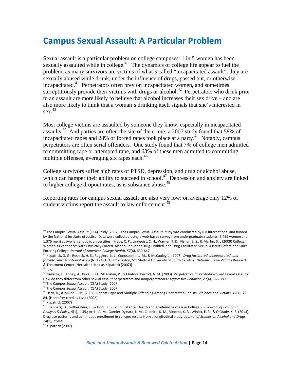### **Campus Sexual Assault: A Particular Problem**

Sexual assault is a particular problem on college campuses: 1 in 5 women has been sexually assaulted while in college. $40$  The dynamics of college life appear to fuel the problem, as many survivors are victims of what's called "incapacitated assault": they are sexually abused while drunk, under the influence of drugs, passed out, or otherwise incapacitated.<sup>41</sup> Perpetrators often prey on incapacitated women, and sometimes surreptitiously provide their victims with drugs or alcohol.<sup>42</sup> Perpetrators who drink prior to an assault are more likely to believe that alcohol increases their sex drive – and are also more likely to think that a woman's drinking itself signals that she's interested in  $sex.<sup>43</sup>$ 

Most college victims are assaulted by someone they know, especially in incapacitated assaults.44 And parties are often the site of the crime: a 2007 study found that 58% of incapacitated rapes and 28% of forced rapes took place at a party.<sup>45</sup> Notably, campus perpetrators are often serial offenders. One study found that 7% of college men admitted to committing rape or attempted rape, and 63% of these men admitted to committing multiple offenses, averaging six rapes each. $^{46}$ 

College survivors suffer high rates of PTSD, depression, and drug or alcohol abuse, which can hamper their ability to succeed in school.<sup>47</sup> Depression and anxiety are linked to higher college dropout rates, as is substance abuse.<sup>48</sup>

Reporting rates for campus sexual assault are also very low: on average only 12% of student victims report the assault to law enforcement.<sup>49</sup>

<sup>&</sup>lt;sup>40</sup> The Campus Sexual Assault (CSA) Study (2007); The Campus Sexual Assault Study was conducted by RTI International and funded by the National Institute of Justice. Data were collected using a web‐based survey from undergraduate students (5,466 women and 1,375 men) at two large, public universities.; Krebs, C. P., Lindquist, C. H., Warner, T. D., Fisher, B. S., & Martin, S. L (2009) College Women's Experiences with Physically Forced, Alcohol‐ or Other Drug‐Enabled, and Drug‐Facilitated Sexual Assault Before and Since Entering College. *Journal of American College Health, 57*(6), 639‐647.

<sup>41</sup> Kilpatrick, D. G., Resnick, H. S., Ruggiero, K. J., Conoscenti, L. M., & McCauley, J. (2007). *Drug facilitated, incapacitated, and forcible rape: A national study* (NCJ 219181). Charleston, SC: Medical University of South Carolina, National Crime Victims Research & Treatment Center.[Hereafter cited as Kilpatrick (2007)]

 $42$  Ibid.

<sup>43</sup> Zawacki, T., Abbey, A., Buck, P. O., McAuslan, P., & Clinton-Sherrod, A. M. (2003). Perpetrators of alcohol-involved sexual assaults: How do they differ from other sexual assault perpetrators and nonperpetrators? *Aggressive Behavior*, *29*(4), 366‐380.

<sup>&</sup>lt;sup>44</sup> The Campus Sexual Assault (CSA) Study (2007)

<sup>&</sup>lt;sup>45</sup> The Campus Sexual Assault (CSA) Study (2007).

<sup>46</sup> Lisak, D., & Miller, P. M. (2002). Repeat Rape and Multiple Offending Among Undetected Rapists. *Violence and Victims*, *17*(1), 73‐ 84. [Hereafter cited as Lisak (2002)]

<sup>&</sup>lt;sup>47</sup> Kilpatrick (2007)

<sup>48</sup> Eisenberg, D., Golberstein, E., & Hunt, J. B. (2009). Mental Health and Academic Success in College. *B E Journal of Economic Analysis & Policy*, *9*(1), 1‐35.; Arria, A. M., Garnier‐Dykstra, L. M., Caldeira, K. M., Vincent, K. B., Winick, E. R., & O'Grady, K. E. (2013). Drug use patterns and continuous enrollment in college: results from a longitudinal study. *Journal of Studies on Alcohol and Drugs*, *74*(1), 71‐83.

<sup>&</sup>lt;sup>49</sup> Kilpatrick (2007)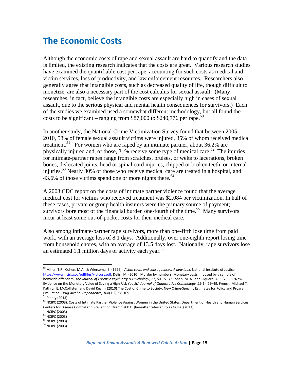# **The Economic Costs**

Although the economic costs of rape and sexual assault are hard to quantify and the data is limited, the existing research indicates that the costs are great. Various research studies have examined the quantifiable cost per rape, accounting for such costs as medical and victim services, loss of productivity, and law enforcement resources. Researchers also generally agree that intangible costs, such as decreased quality of life, though difficult to monetize, are also a necessary part of the cost calculus for sexual assault. (Many researches, in fact, believe the intangible costs are especially high in cases of sexual assault, due to the serious physical and mental health consequences for survivors.) Each of the studies we examined used a somewhat different methodology, but all found the costs to be significant – ranging from \$87,000 to \$240,776 per rape.<sup>50</sup>

In another study, the National Crime Victimization Survey found that between 2005- 2010, 58% of female sexual assault victims were injured, 35% of whom received medical treatment.<sup>51</sup> For women who are raped by an intimate partner, about 36.2% are physically injured and, of those,  $31\%$  receive some type of medical care.<sup>52</sup> The injuries for intimate-partner rapes range from scratches, bruises, or welts to lacerations, broken bones, dislocated joints, head or spinal cord injuries, chipped or broken teeth, or internal injuries.<sup>53</sup> Nearly 80% of those who receive medical care are treated in a hospital, and 43.6% of those victims spend one or more nights there.<sup>54</sup>

A 2003 CDC report on the costs of intimate partner violence found that the average medical cost for victims who received treatment was \$2,084 per victimization. In half of these cases, private or group health insurers were the primary source of payment; survivors bore most of the financial burden one-fourth of the time.<sup>55</sup> Many survivors incur at least some out-of-pocket costs for their medical care.

Also among intimate-partner rape survivors, more than one-fifth lose time from paid work, with an average loss of 8.1 days. Additionally, over one-eighth report losing time from household chores, with an average of 13.5 days lost. Nationally, rape survivors lose an estimated 1.1 million days of activity each year.<sup>56</sup>

<sup>50</sup> Miller, T.R., Cohen, M.A., & Wiersema, B. (1996). *Victim costs and consequences: A new look*. National Institute of Justice. https://www.ncjrs.gov/pdffiles/victcost.pdf; Delisi, M. (2010). Murder by numbers: Monetary costs imposed by a sample of homicide offenders. *The Journal of Forensic Psychiatry & Psychology*, *21*, 501‐513.; Cohen, M. A., and Piquero, A.R. (2009) "New Evidence on the Monetary Value of Saving a High Risk Youth," *Journal of Quantitative Criminology, 25*(1), 25–49. French, Michael T., Kathryn E. McCollister, and David Reznik (2010) The Cost of Crime to Society: New Crime‐Specific Estimates for Policy and Program Evaluation. *Drug Alcohol Dependence, <sup>108</sup>*(1‐2), <sup>98</sup>‐109. <sup>51</sup> Planty (2013)

<sup>52</sup> NCIPC (2003). Costs of Intimate Partner Violence Against Women in the United States. Department of Health and Human Services, Centers for Disease Control and Prevention, March 2003. [hereafter referred to as NCIPC (2013)].<br><sup>53</sup> NCIPC (2003)

<sup>&</sup>lt;sup>54</sup> NCIPC (2003)

<sup>55</sup> NCIPC (2003)

 $56$  NCIPC (2003)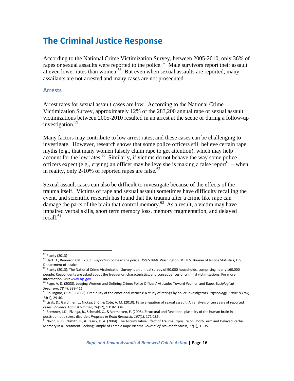# **The Criminal Justice Response**

According to the National Crime Victimization Survey, between 2005-2010, only 36% of rapes or sexual assaults were reported to the police.<sup>57</sup> Male survivors report their assault at even lower rates than women.<sup>58</sup>But even when sexual assaults are reported, many assailants are not arrested and many cases are not prosecuted.

#### **Arrests**

Arrest rates for sexual assault cases are low. According to the National Crime Victimization Survey, approximately 12% of the 283,200 annual rape or sexual assault victimizations between 2005-2010 resulted in an arrest at the scene or during a follow-up investigation.<sup>59</sup>

Many factors may contribute to low arrest rates, and these cases can be challenging to investigate. However, research shows that some police officers still believe certain rape myths (e.g., that many women falsely claim rape to get attention), which may help account for the low rates. $60$  Similarly, if victims do not behave the way some police officers expect (e.g., crying) an officer may believe she is making a false report<sup>61</sup> – when, in reality, only 2-10% of reported rapes are false.<sup>62</sup>

Sexual assault cases can also be difficult to investigate because of the effects of the trauma itself. Victims of rape and sexual assault sometimes have difficulty recalling the event, and scientific research has found that the trauma after a crime like rape can damage the parts of the brain that control memory.<sup>63</sup> As a result, a victim may have impaired verbal skills, short term memory loss, memory fragmentation, and delayed  $recall<sup>64</sup>$ 

<sup>57</sup> Planty (2013) <sup>58</sup> Hart TC, Rennison CM. (2003). *Reporting crime to the police: <sup>1992</sup>‐2000*. Washington DC: U.S. Bureau of Justice Statistics, U.S. Department of Justice.

<sup>&</sup>lt;sup>59</sup> Planty (2013); The National Crime Victimization Survey is an annual survey of 90,000 households, comprising nearly 160,000 people. Respondents are asked about the frequency, characteristics, and consequences of criminal victimizations. For more information, visit www.bjs.gov.

<sup>60</sup> Page, A. D. (2008). Judging Women and Defining Crime: Police Officers' Attitudes Toward Women and Rape. *Sociological Spectrum*, *28*(4), 389‐411.

<sup>61</sup> Bollingmo, Guri C. (2008). Credibility of the emotional witness: A study of ratings by police investigators. *Psychology, Crime & Law, 14*(1), 29‐40.

 $^{62}$  Lisak, D., Gardinier, L., Nicksa, S. C., & Cote, A. M. (2010). False allegation of sexual assault: An analysis of ten years of reported cases. *Violence Against Women*, *16*(12), 1318‐1334.

<sup>&</sup>lt;sup>63</sup> Bremner, J.D., Elzinga, B., Schmahl, C., & Vermetten, E. (2008). Structural and functional plasticity of the human brain in posttraumatic stress disorder. *Progress in Brain Research*. *167*(1), 171‐186.

<sup>64</sup> Nixon, R. D., Nishith, P., & Resick, P. A. (2004). The Accumulative Effect of Trauma Exposure on Short-Term and Delayed Verbal Memory in a Treatment‐Seeking Sample of Female Rape Victims. *Journal of Traumatic Stress*, *17*(1), 31‐35.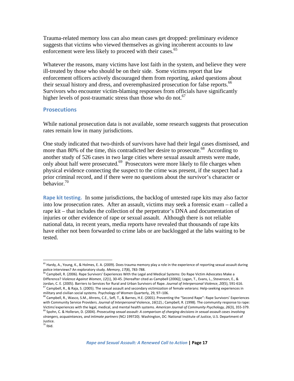Trauma-related memory loss can also mean cases get dropped: preliminary evidence suggests that victims who viewed themselves as giving incoherent accounts to law enforcement were less likely to proceed with their cases.<sup>65</sup>

Whatever the reasons, many victims have lost faith in the system, and believe they were ill-treated by those who should be on their side. Some victims report that law enforcement officers actively discouraged them from reporting, asked questions about their sexual history and dress, and overemphasized prosecution for false reports.<sup>66</sup> Survivors who encounter victim-blaming responses from officials have significantly higher levels of post-traumatic stress than those who do not.<sup>67</sup>

#### **Prosecutions**

While national prosecution data is not available, some research suggests that prosecution rates remain low in many jurisdictions.

One study indicated that two-thirds of survivors have had their legal cases dismissed, and more than 80% of the time, this contradicted her desire to prosecute.<sup>68</sup> According to another study of 526 cases in two large cities where sexual assault arrests were made, only about half were prosecuted.<sup>69</sup> Prosecutors were more likely to file charges when physical evidence connecting the suspect to the crime was present, if the suspect had a prior criminal record, and if there were no questions about the survivor's character or behavior.70

**Rape kit testing.** In some jurisdictions, the backlog of untested rape kits may also factor into low prosecution rates. After an assault, victims may seek a forensic exam – called a rape kit – that includes the collection of the perpetrator's DNA and documentation of injuries or other evidence of rape or sexual assault. Although there is not reliable national data, in recent years, media reports have revealed that thousands of rape kits have either not been forwarded to crime labs or are backlogged at the labs waiting to be tested.

<sup>&</sup>lt;sup>65</sup> Hardy, A., Young, K., & Holmes, E. A. (2009). Does trauma memory play a role in the experience of reporting sexual assault during police interviews? An exploratory study. *Memory*, *17*(8), 783‐788.

<sup>66</sup> Campbell, R. (2006). Rape Survivors' Experiences With the Legal and Medical Systems: Do Rape Victim Advocates Make a Difference? *Violence Against Women*, *12*(1), 30‐45. [Hereafter cited as Campbell (2006)]; Logan, T., Evans, L., Stevenson, E., & Jordan, C. E. (2005). Barriers to Services for Rural and Urban Survivors of Rape. *Journal of Interpersonal Violence*, *20*(5), 591‐616.  $^{67}$  Campbell, R., & Raja, S. (2005). The sexual assault and secondary victimization of female veterans: Help-seeking experiences in

military and civilian social systems. Psychology of Women Quarterly, 29, 97–106.<br><sup>68</sup> Campbell, R., Wasco, S.M., Ahrens, C.E., Sefl, T., & Barnes, H.E. (2001). Preventing the "Second Rape": Rape Survivors' Experiences with Community Service Providers. *Journal of Interpersonal* Violence, *16*(12).; Campbell, R. (1998). The community response to rape: Victims'experiences with the legal, medical, and mental health systems. *American Journal of Community Psychology, 26*(3), 355‐379. <sup>69</sup> Spohn, C. & Holleran, D. (2004). *Prosecuting sexual assault: A comparison of charging decisions in sexual assault cases involving*

*strangers, acquaintances, and intimate partners* (NCJ 199720). Washington, DC: National Institute of Justice, U.S. Department of Justice.

 $70$  Ibid.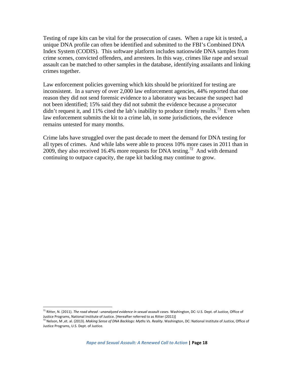Testing of rape kits can be vital for the prosecution of cases. When a rape kit is tested, a unique DNA profile can often be identified and submitted to the FBI's Combined DNA Index System (CODIS). This software platform includes nationwide DNA samples from crime scenes, convicted offenders, and arrestees. In this way, crimes like rape and sexual assault can be matched to other samples in the database, identifying assailants and linking crimes together.

Law enforcement policies governing which kits should be prioritized for testing are inconsistent. In a survey of over 2,000 law enforcement agencies, 44% reported that one reason they did not send forensic evidence to a laboratory was because the suspect had not been identified; 15% said they did not submit the evidence because a prosecutor didn't request it, and 11% cited the lab's inability to produce timely results.<sup>71</sup> Even when law enforcement submits the kit to a crime lab, in some jurisdictions, the evidence remains untested for many months.

Crime labs have struggled over the past decade to meet the demand for DNA testing for all types of crimes. And while labs were able to process 10% more cases in 2011 than in 2009, they also received 16.4% more requests for DNA testing.<sup>72</sup> And with demand continuing to outpace capacity, the rape kit backlog may continue to grow.

<sup>71</sup> Ritter, N. (2011). *The road ahead : unanalyzed evidence in sexual assault cases.* Washington, DC: U.S. Dept. of Justice, Office of Justice Programs, National Institute of Justice. [Hereafter referred to as Ritter (2011)]

<sup>72</sup> Nelson, M ,et. al. (2013). *Making Sense of DNA Backlogs: Myths Vs. Reality*. Washington, DC: National Institute of Justice, Office of Justice Programs, U.S. Dept. of Justice.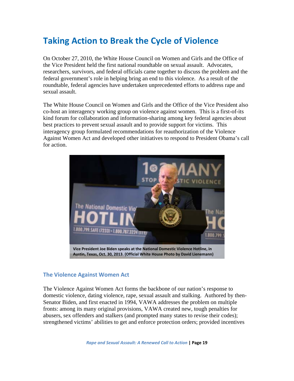# **Taking Action to Break the Cycle of Violence**

On October 27, 2010, the White House Council on Women and Girls and the Office of the Vice President held the first national roundtable on sexual assault. Advocates, researchers, survivors, and federal officials came together to discuss the problem and the federal government's role in helping bring an end to this violence. As a result of the roundtable, federal agencies have undertaken unprecedented efforts to address rape and sexual assault.

The White House Council on Women and Girls and the Office of the Vice President also co-host an interagency working group on violence against women. This is a first-of-its kind forum for collaboration and information-sharing among key federal agencies about best practices to prevent sexual assault and to provide support for victims. This interagency group formulated recommendations for reauthorization of the Violence Against Women Act and developed other initiatives to respond to President Obama's call for action.



### **The Violence Against Women Act**

The Violence Against Women Act forms the backbone of our nation's response to domestic violence, dating violence, rape, sexual assault and stalking. Authored by then-Senator Biden, and first enacted in 1994, VAWA addresses the problem on multiple fronts: among its many original provisions, VAWA created new, tough penalties for abusers, sex offenders and stalkers (and prompted many states to revise their codes); strengthened victims' abilities to get and enforce protection orders; provided incentives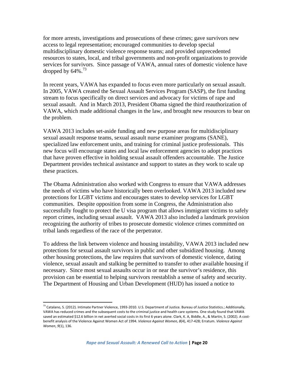for more arrests, investigations and prosecutions of these crimes; gave survivors new access to legal representation; encouraged communities to develop special multidisciplinary domestic violence response teams; and provided unprecedented resources to states, local, and tribal governments and non-profit organizations to provide services for survivors. Since passage of VAWA, annual rates of domestic violence have dropped by  $64\%$ .<sup>73</sup>

In recent years, VAWA has expanded to focus even more particularly on sexual assault. In 2005, VAWA created the Sexual Assault Services Program (SASP), the first funding stream to focus specifically on direct services and advocacy for victims of rape and sexual assault. And in March 2013, President Obama signed the third reauthorization of VAWA, which made additional changes in the law, and brought new resources to bear on the problem.

VAWA 2013 includes set-aside funding and new purpose areas for multidisciplinary sexual assault response teams, sexual assault nurse examiner programs (SANE), specialized law enforcement units, and training for criminal justice professionals. This new focus will encourage states and local law enforcement agencies to adopt practices that have proven effective in holding sexual assault offenders accountable. The Justice Department provides technical assistance and support to states as they work to scale up these practices.

The Obama Administration also worked with Congress to ensure that VAWA addresses the needs of victims who have historically been overlooked. VAWA 2013 included new protections for LGBT victims and encourages states to develop services for LGBT communities. Despite opposition from some in Congress, the Administration also successfully fought to protect the U visa program that allows immigrant victims to safely report crimes, including sexual assault. VAWA 2013 also included a landmark provision recognizing the authority of tribes to prosecute domestic violence crimes committed on tribal lands regardless of the race of the perpetrator.

To address the link between violence and housing instability, VAWA 2013 included new protections for sexual assault survivors in public and other subsidized housing. Among other housing protections, the law requires that survivors of domestic violence, dating violence, sexual assault and stalking be permitted to transfer to other available housing if necessary. Since most sexual assaults occur in or near the survivor's residence, this provision can be essential to helping survivors reestablish a sense of safety and security. The Department of Housing and Urban Development (HUD) has issued a notice to

<sup>&</sup>lt;sup>73</sup> Catalano, S. (2012). Intimate Partner Violence, 1993-2010. U.S. Department of Justice. Bureau of Justice Statistics.; Additionally, VAWA has reduced crimes and the subsequent costs to the criminal justice and health care systems. One study found that VAWA saved an estimated \$12.6 billion in net averted social costs in its first 6 years alone. Clark, K. A, Biddle, A., & Martin, S. (2002). A costbenefit analysis of the Violence Against Women Act of 1994. *Violence Against Women, 8*(4), 417‐428; Erratum. *Violence Against Women*, *9*(1), 136.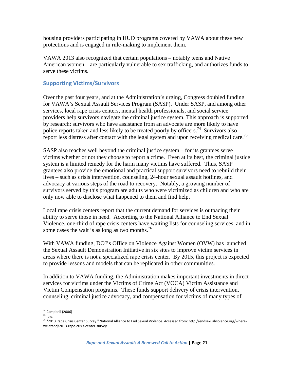housing providers participating in HUD programs covered by VAWA about these new protections and is engaged in rule-making to implement them.

VAWA 2013 also recognized that certain populations – notably teens and Native American women – are particularly vulnerable to sex trafficking, and authorizes funds to serve these victims.

### **Supporting Victims/Survivors**

Over the past four years, and at the Administration's urging, Congress doubled funding for VAWA's Sexual Assault Services Program (SASP). Under SASP, and among other services, local rape crisis centers, mental health professionals, and social service providers help survivors navigate the criminal justice system. This approach is supported by research: survivors who have assistance from an advocate are more likely to have police reports taken and less likely to be treated poorly by officers.<sup>74</sup> Survivors also report less distress after contact with the legal system and upon receiving medical care.75

SASP also reaches well beyond the criminal justice system – for its grantees serve victims whether or not they choose to report a crime. Even at its best, the criminal justice system is a limited remedy for the harm many victims have suffered. Thus, SASP grantees also provide the emotional and practical support survivors need to rebuild their lives – such as crisis intervention, counseling, 24-hour sexual assault hotlines, and advocacy at various steps of the road to recovery. Notably, a growing number of survivors served by this program are adults who were victimized as children and who are only now able to disclose what happened to them and find help.

Local rape crisis centers report that the current demand for services is outpacing their ability to serve those in need. According to the National Alliance to End Sexual Violence, one-third of rape crisis centers have waiting lists for counseling services, and in some cases the wait is as long as two months.<sup>76</sup>

With VAWA funding, DOJ's Office on Violence Against Women (OVW) has launched the Sexual Assault Demonstration Initiative in six sites to improve victim services in areas where there is not a specialized rape crisis center. By 2015, this project is expected to provide lessons and models that can be replicated in other communities.

In addition to VAWA funding, the Administration makes important investments in direct services for victims under the Victims of Crime Act (VOCA) Victim Assistance and Victim Compensation programs. These funds support delivery of crisis intervention, counseling, criminal justice advocacy, and compensation for victims of many types of

 $74^7$  Campbell (2006)<br> $75$  Ibid.

<sup>76</sup> "2013 Rape Crisis Center Survey." National Alliance to End Sexual Violence. Accessed from: http://endsexualviolence.org/where‐ we‐stand/2013‐rape‐crisis‐center‐survey.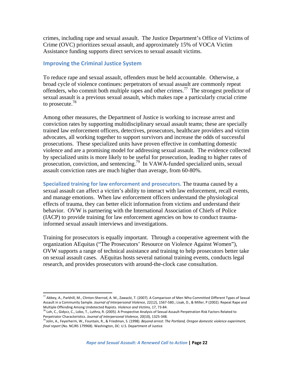crimes, including rape and sexual assault. The Justice Department's Office of Victims of Crime (OVC) prioritizes sexual assault, and approximately 15% of VOCA Victim Assistance funding supports direct services to sexual assault victims.

#### **Improving the Criminal Justice System**

To reduce rape and sexual assault, offenders must be held accountable. Otherwise, a broad cycle of violence continues: perpetrators of sexual assault are commonly repeat offenders, who commit both multiple rapes and other crimes.77 The strongest predictor of sexual assault is a previous sexual assault, which makes rape a particularly crucial crime to prosecute. $^{78}$ 

Among other measures, the Department of Justice is working to increase arrest and conviction rates by supporting multidisciplinary sexual assault teams; these are specially trained law enforcement officers, detectives, prosecutors, healthcare providers and victim advocates, all working together to support survivors and increase the odds of successful prosecutions. These specialized units have proven effective in combatting domestic violence and are a promising model for addressing sexual assault. The evidence collected by specialized units is more likely to be useful for prosecution, leading to higher rates of prosecution, conviction, and sentencing.79 In VAWA-funded specialized units, sexual assault conviction rates are much higher than average, from 60-80%.

**Specialized training for law enforcement and prosecutors.** The trauma caused by a sexual assault can affect a victim's ability to interact with law enforcement, recall events, and manage emotions. When law enforcement officers understand the physiological effects of trauma, they can better elicit information from victims and understand their behavior. OVW is partnering with the International Association of Chiefs of Police (IACP) to provide training for law enforcement agencies on how to conduct traumainformed sexual assault interviews and investigations.

Training for prosecutors is equally important. Through a cooperative agreement with the organization AEquitas ("The Prosecutors' Resource on Violence Against Women"), OVW supports a range of technical assistance and training to help prosecutors better take on sexual assault cases. AEquitas hosts several national training events, conducts legal research, and provides prosecutors with around-the-clock case consultation.

 $^{77}$  Abbey, A., Parkhill, M., Clinton-Sherrod, A. M., Zawacki, T. (2007). A Comparison of Men Who Committed Different Types of Sexual Assault in a Community Sample. *Journal of Interpersonal Violence,* 22(12), 1567‐580.; Lisak, D., & Miller, P (2002). Repeat Rape and Multiple Offending Among Undetected Rapists. *Violence and Victims,* 17, 73‐84.

<sup>78</sup> Loh, C., Gidycz, C., Lobo, T., Luthra, R. (2005). A Prospective Analysis of Sexual Assault Perpetration Risk Factors Related to Perpetrator Characteristics. *Journal of Interpersonal Violence,* 20(10), 1325‐348.

<sup>79</sup> Jolin, A., Feyerherm, W., Fountain, R., & Friedman, S. (1998). *Beyond arrest: The Portland, Oregon domestic violence experiment, final report* (No. NCJRS 179968). Washington, DC: U.S. Department of Justice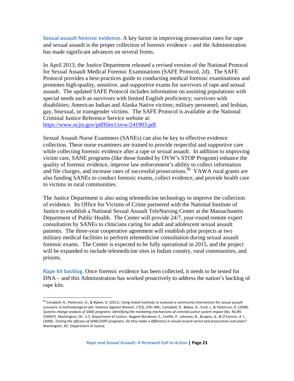**Sexual assault forensic evidence.** A key factor in improving prosecution rates for rape and sexual assault is the proper collection of forensic evidence – and the Administration has made significant advances on several fronts.

In April 2013, the Justice Department released a revised version of the National Protocol for Sexual Assault Medical Forensic Examinations (SAFE Protocol, 2d). The SAFE Protocol provides a best-practices guide to conducting medical forensic examinations and promotes high-quality, sensitive, and supportive exams for survivors of rape and sexual assault. The updated SAFE Protocol includes information on assisting populations with special needs such as survivors with limited English proficiency; survivors with disabilities; American Indian and Alaska Native victims; military personnel; and lesbian, gay, bisexual, or transgender victims. The SAFE Protocol is available at the National Criminal Justice Reference Service website at: https://www.ncjrs.gov/pdffiles1/ovw/241903.pdf.

Sexual Assault Nurse Examiners (SANEs) can also be key to effective evidence collection. These nurse examiners are trained to provide respectful and supportive care while collecting forensic evidence after a rape or sexual assault. In addition to improving victim care, SANE programs (like those funded by OVW's STOP Program) enhance the quality of forensic evidence, improve law enforcement's ability to collect information and file charges, and increase rates of successful prosecutions.<sup>80</sup> VAWA rural grants are also funding SANEs to conduct forensic exams, collect evidence, and provide health care to victims in rural communities.

The Justice Department is also using telemedicine technology to improve the collection of evidence. Its Office for Victims of Crime partnered with the National Institute of Justice to establish a National Sexual Assault TeleNursing Center at the Massachusetts Department of Public Health. The Center will provide 24/7, year-round remote expert consultation by SANEs to clinicians caring for adult and adolescent sexual assault patients. The three-year cooperative agreement will establish pilot projects at two military medical facilities to perform telemedicine consultation during sexual assault forensic exams. The Center is expected to be fully operational in 2015, and the project will be expanded to include telemedicine sites in Indian country, rural communities, and prisons.

**Rape kit backlog.** Once forensic evidence has been collected, it needs to be tested for DNA – and this Administration has worked proactively to address the nation's backlog of rape kits.

 $^{80}$  Campbell, R., Patterson, D., & Bybee, D. (2011). Using mixed methods to evaluate a community intervention for sexual assault survivors: A methodological tale. *Violence Against Women*, *17*(3), 376–388.; Campbell, R., Bybee, D., Ford, J., & Patterson, D. (2008). Systems change analysis of SANE programs: Identifying the mediating mechanisms of criminal justice system impact (No. NCJRS 226497). Washington, DC: U.S. Department of Justice.; Nugent‐Borakove, E., Fanflik, P., Johnson, N., Burgess, A., & O'Connor, A. L. (2006). Testing the efficacy of SANE/SART programs: Do they make a difference in sexual assault arrest and prosecution outcomes? Washington, DC: Department of Justice.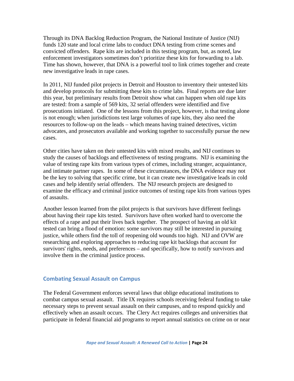Through its DNA Backlog Reduction Program, the National Institute of Justice (NIJ) funds 120 state and local crime labs to conduct DNA testing from crime scenes and convicted offenders. Rape kits are included in this testing program, but, as noted, law enforcement investigators sometimes don't prioritize these kits for forwarding to a lab. Time has shown, however, that DNA is a powerful tool to link crimes together and create new investigative leads in rape cases.

In 2011, NIJ funded pilot projects in Detroit and Houston to inventory their untested kits and develop protocols for submitting these kits to crime labs. Final reports are due later this year, but preliminary results from Detroit show what can happen when old rape kits are tested: from a sample of 569 kits, 32 serial offenders were identified and five prosecutions initiated. One of the lessons from this project, however, is that testing alone is not enough; when jurisdictions test large volumes of rape kits, they also need the resources to follow-up on the leads – which means having trained detectives, victim advocates, and prosecutors available and working together to successfully pursue the new cases.

Other cities have taken on their untested kits with mixed results, and NIJ continues to study the causes of backlogs and effectiveness of testing programs. NIJ is examining the value of testing rape kits from various types of crimes, including stranger, acquaintance, and intimate partner rapes. In some of these circumstances, the DNA evidence may not be the key to solving that specific crime, but it can create new investigative leads in cold cases and help identify serial offenders. The NIJ research projects are designed to examine the efficacy and criminal justice outcomes of testing rape kits from various types of assaults.

Another lesson learned from the pilot projects is that survivors have different feelings about having their rape kits tested. Survivors have often worked hard to overcome the effects of a rape and put their lives back together. The prospect of having an old kit tested can bring a flood of emotion: some survivors may still be interested in pursuing justice, while others find the toll of reopening old wounds too high. NIJ and OVW are researching and exploring approaches to reducing rape kit backlogs that account for survivors' rights, needs, and preferences – and specifically, how to notify survivors and involve them in the criminal justice process.

#### **Combating Sexual Assault on Campus**

The Federal Government enforces several laws that oblige educational institutions to combat campus sexual assault. Title IX requires schools receiving federal funding to take necessary steps to prevent sexual assault on their campuses, and to respond quickly and effectively when an assault occurs. The Clery Act requires colleges and universities that participate in federal financial aid programs to report annual statistics on crime on or near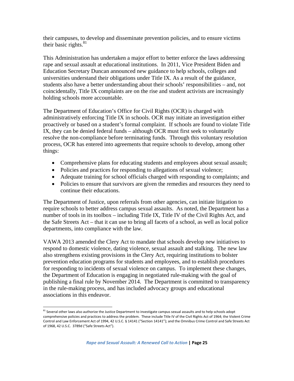their campuses, to develop and disseminate prevention policies, and to ensure victims their basic rights. $81$ 

This Administration has undertaken a major effort to better enforce the laws addressing rape and sexual assault at educational institutions. In 2011, Vice President Biden and Education Secretary Duncan announced new guidance to help schools, colleges and universities understand their obligations under Title IX. As a result of the guidance, students also have a better understanding about their schools' responsibilities – and, not coincidentally, Title IX complaints are on the rise and student activists are increasingly holding schools more accountable.

The Department of Education's Office for Civil Rights (OCR) is charged with administratively enforcing Title IX in schools. OCR may initiate an investigation either proactively or based on a student's formal complaint. If schools are found to violate Title IX, they can be denied federal funds – although OCR must first seek to voluntarily resolve the non-compliance before terminating funds. Through this voluntary resolution process, OCR has entered into agreements that require schools to develop, among other things:

- Comprehensive plans for educating students and employees about sexual assault;
- Policies and practices for responding to allegations of sexual violence;
- Adequate training for school officials charged with responding to complaints; and
- Policies to ensure that survivors are given the remedies and resources they need to continue their educations.

The Department of Justice, upon referrals from other agencies, can initiate litigation to require schools to better address campus sexual assaults. As noted, the Department has a number of tools in its toolbox – including Title IX, Title IV of the Civil Rights Act, and the Safe Streets Act – that it can use to bring all facets of a school, as well as local police departments, into compliance with the law.

VAWA 2013 amended the Clery Act to mandate that schools develop new initiatives to respond to domestic violence, dating violence, sexual assault and stalking. The new law also strengthens existing provisions in the Clery Act, requiring institutions to bolster prevention education programs for students and employees, and to establish procedures for responding to incidents of sexual violence on campus. To implement these changes, the Department of Education is engaging in negotiated rule-making with the goal of publishing a final rule by November 2014. The Department is committed to transparency in the rule-making process, and has included advocacy groups and educational associations in this endeavor.

<sup>&</sup>lt;sup>81</sup> Several other laws also authorize the Justice Department to investigate campus sexual assaults and to help schools adopt comprehensive policies and practices to address the problem. These include Title IV of the Civil Rights Act of 1964; the Violent Crime Control and Law Enforcement Act of 1994, 42 U.S.C. § 14141 ("Section 14141"); and the Omnibus Crime Control and Safe Streets Act of 1968, 42 U.S.C. 3789d ("Safe Streets Act").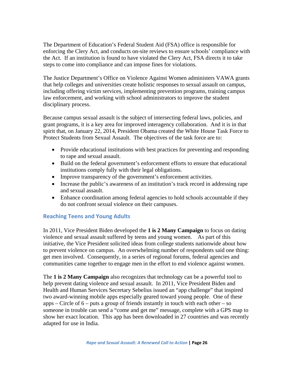The Department of Education's Federal Student Aid (FSA) office is responsible for enforcing the Clery Act, and conducts on-site reviews to ensure schools' compliance with the Act. If an institution is found to have violated the Clery Act, FSA directs it to take steps to come into compliance and can impose fines for violations.

The Justice Department's Office on Violence Against Women administers VAWA grants that help colleges and universities create holistic responses to sexual assault on campus, including offering victim services, implementing prevention programs, training campus law enforcement, and working with school administrators to improve the student disciplinary process.

Because campus sexual assault is the subject of intersecting federal laws, policies, and grant programs, it is a key area for improved interagency collaboration. And it is in that spirit that, on January 22, 2014, President Obama created the White House Task Force to Protect Students from Sexual Assault. The objectives of the task force are to:

- Provide educational institutions with best practices for preventing and responding to rape and sexual assault.
- Build on the federal government's enforcement efforts to ensure that educational institutions comply fully with their legal obligations.
- Improve transparency of the government's enforcement activities.
- Increase the public's awareness of an institution's track record in addressing rape and sexual assault.
- Enhance coordination among federal agencies to hold schools accountable if they do not confront sexual violence on their campuses.

### **Reaching Teens and Young Adults**

In 2011, Vice President Biden developed the **1 is 2 Many Campaign** to focus on dating violence and sexual assault suffered by teens and young women. As part of this initiative, the Vice President solicited ideas from college students nationwide about how to prevent violence on campus. An overwhelming number of respondents said one thing: get men involved. Consequently, in a series of regional forums, federal agencies and communities came together to engage men in the effort to end violence against women.

The **1 is 2 Many Campaign** also recognizes that technology can be a powerful tool to help prevent dating violence and sexual assault. In 2011, Vice President Biden and Health and Human Services Secretary Sebelius issued an "app challenge" that inspired two award-winning mobile apps especially geared toward young people. One of these  $apps - Circle of 6 - puts a group of friends instantly in touch with each other - so$ someone in trouble can send a "come and get me" message, complete with a GPS map to show her exact location. This app has been downloaded in 27 countries and was recently adapted for use in India.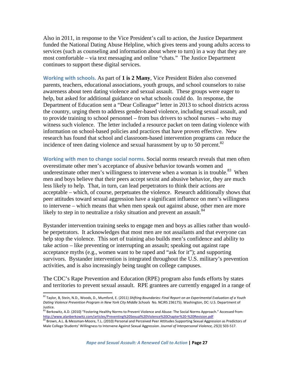Also in 2011, in response to the Vice President's call to action, the Justice Department funded the National Dating Abuse Helpline, which gives teens and young adults access to services (such as counseling and information about where to turn) in a way that they are most comfortable – via text messaging and online "chats." The Justice Department continues to support these digital services.

**Working with schools.** As part of **1 is 2 Many**, Vice President Biden also convened parents, teachers, educational associations, youth groups, and school counselors to raise awareness about teen dating violence and sexual assault. These groups were eager to help, but asked for additional guidance on what schools could do. In response, the Department of Education sent a "Dear Colleague" letter in 2013 to school districts across the country, urging them to address gender-based violence, including sexual assault, and to provide training to school personnel – from bus drivers to school nurses – who may witness such violence. The letter included a resource packet on teen dating violence with information on school-based policies and practices that have proven effective. New research has found that school and classroom-based intervention programs can reduce the incidence of teen dating violence and sexual harassment by up to 50 percent.<sup>82</sup>

**Working with men to change social norms.** Social norms research reveals that men often overestimate other men's acceptance of abusive behavior towards women and underestimate other men's willingness to intervene when a woman is in trouble.<sup>83</sup> When men and boys believe that their peers accept sexist and abusive behavior, they are much less likely to help. That, in turn, can lead perpetrators to think their actions are acceptable – which, of course, perpetuates the violence. Research additionally shows that peer attitudes toward sexual aggression have a significant influence on men's willingness to intervene – which means that when men speak out against abuse, other men are more likely to step in to neutralize a risky situation and prevent an assault.<sup>84</sup>

Bystander intervention training seeks to engage men and boys as allies rather than wouldbe perpetrators. It acknowledges that most men are not assailants and that everyone can help stop the violence. This sort of training also builds men's confidence and ability to take action – like preventing or interrupting an assault; speaking out against rape acceptance myths (e.g., women want to be raped and "ask for it"); and supporting survivors. Bystander intervention is integrated throughout the U.S. military's prevention activities, and is also increasingly being taught on college campuses.

The CDC's Rape Prevention and Education (RPE) program also funds efforts by states and territories to prevent sexual assault. RPE grantees are currently engaged in a range of

*Rape and Sexual Assault: A Renewed Call to Action* **| Page 27**

<sup>82</sup> Taylor, B, Stein, N.D., Woods, D., Mumford, E. (2011) *Shifting Boundaries: Final Report on an Experimental Evaluation of a Youth Dating Violence Prevention Program in New York City Middle Schools* No. NCJRS 236175). Washington, DC: U.S. Department of Justice.

<sup>83</sup> Berkowitz, A.D. (2010) "Fostering Healthy Norms to Prevent Violence and Abuse: The Social Norms Approach." Accessed from: http://www.alanberkowitz.com/articles/Preventing%20Sexual%20Violence%20Chapter%20‐%20Revision.pdf

<sup>84</sup> Brown, A.L. & Messman-Moore, T.L. (2010) Personal and Perceived Peer Attitudes Supporting Sexual Aggression as Predictors of Male College Students' Willingness to Intervene Against Sexual Aggression. *Journal of Interpersonal Violence, 25*(3) 503‐517.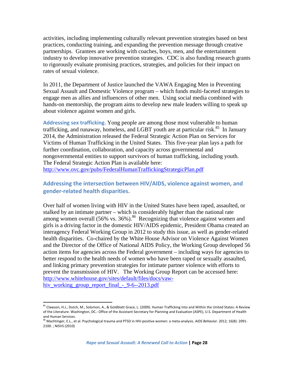activities, including implementing culturally relevant prevention strategies based on best practices, conducting training, and expanding the prevention message through creative partnerships. Grantees are working with coaches, boys, men, and the entertainment industry to develop innovative prevention strategies. CDC is also funding research grants to rigorously evaluate promising practices, strategies, and policies for their impact on rates of sexual violence.

In 2011, the Department of Justice launched the VAWA Engaging Men in Preventing Sexual Assault and Domestic Violence program – which funds multi-faceted strategies to engage men as allies and influencers of other men. Using social media combined with hands-on mentorship, the program aims to develop new male leaders willing to speak up about violence against women and girls.

**Addressing sex trafficking.** Yong people are among those most vulnerable to human trafficking, and runaway, homeless, and LGBT youth are at particular risk.<sup>85</sup> In January 2014, the Administration released the Federal Strategic Action Plan on Services for Victims of Human Trafficking in the United States. This five-year plan lays a path for further coordination, collaboration, and capacity across governmental and nongovernmental entities to support survivors of human trafficking, including youth. The Federal Strategic Action Plan is available here: http://www.ovc.gov/pubs/FederalHumanTraffickingStrategicPlan.pdf

### **Addressing the intersection between HIV/AIDS, violence against women, and gender‐related health disparities.**

Over half of women living with HIV in the United States have been raped, assaulted, or stalked by an intimate partner – which is considerably higher than the national rate among women overall  $(56\% \text{ vs. } 36\%)$ .<sup>86</sup> Recognizing that violence against women and girls is a driving factor in the domestic HIV/AIDS epidemic, President Obama created an interagency Federal Working Group in 2012 to study this issue, as well as gender-related health disparities. Co-chaired by the White House Advisor on Violence Against Women and the Director of the Office of National AIDS Policy, the Working Group developed 56 action items for agencies across the Federal government – including ways for agencies to better respond to the health needs of women who have been raped or sexually assaulted, and linking primary prevention strategies for intimate partner violence with efforts to prevent the transmission of HIV. The Working Group Report can be accessed here: http://www.whitehouse.gov/sites/default/files/docs/vawhiv\_working\_group\_report\_final\_-\_9-6--2013.pdf

  $^{85}$  Clawson, H.J., Dutch, M., Solomon, A., & Goldblatt Grace, L. (2009). Human Trafficking Into and Within the United States: A Review of the Literature. Washington, DC.: Office of the Assistant Secretary for Planning and Evaluation (ASPE), U.S. Department of Health and Human Services.

<sup>86</sup> Machtinger, E.L., et al. Psychological trauma and PTSD in HIV‐positive women: a meta‐analysis. *AIDS Behavior*. 2012; 16(8): 2091‐ 2100. ; NISVS (2010)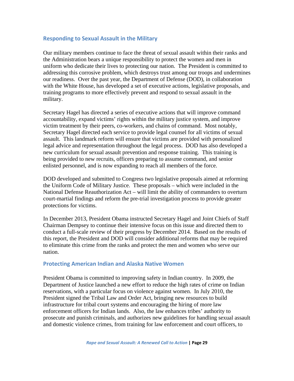#### **Responding to Sexual Assault in the Military**

Our military members continue to face the threat of sexual assault within their ranks and the Administration bears a unique responsibility to protect the women and men in uniform who dedicate their lives to protecting our nation. The President is committed to addressing this corrosive problem, which destroys trust among our troops and undermines our readiness. Over the past year, the Department of Defense (DOD), in collaboration with the White House, has developed a set of executive actions, legislative proposals, and training programs to more effectively prevent and respond to sexual assault in the military.

Secretary Hagel has directed a series of executive actions that will improve command accountability, expand victims' rights within the military justice system, and improve victim treatment by their peers, co-workers, and chains of command. Most notably, Secretary Hagel directed each service to provide legal counsel for all victims of sexual assault. This landmark reform will ensure that victims are provided with personalized legal advice and representation throughout the legal process. DOD has also developed a new curriculum for sexual assault prevention and response training. This training is being provided to new recruits, officers preparing to assume command, and senior enlisted personnel, and is now expanding to reach all members of the force.

DOD developed and submitted to Congress two legislative proposals aimed at reforming the Uniform Code of Military Justice. These proposals – which were included in the National Defense Reauthorization Act – will limit the ability of commanders to overturn court-martial findings and reform the pre-trial investigation process to provide greater protections for victims.

In December 2013, President Obama instructed Secretary Hagel and Joint Chiefs of Staff Chairman Dempsey to continue their intensive focus on this issue and directed them to conduct a full-scale review of their progress by December 2014. Based on the results of this report, the President and DOD will consider additional reforms that may be required to eliminate this crime from the ranks and protect the men and women who serve our nation.

#### **Protecting American Indian and Alaska Native Women**

President Obama is committed to improving safety in Indian country. In 2009, the Department of Justice launched a new effort to reduce the high rates of crime on Indian reservations, with a particular focus on violence against women. In July 2010, the President signed the Tribal Law and Order Act, bringing new resources to build infrastructure for tribal court systems and encouraging the hiring of more law enforcement officers for Indian lands. Also, the law enhances tribes' authority to prosecute and punish criminals, and authorizes new guidelines for handling sexual assault and domestic violence crimes, from training for law enforcement and court officers, to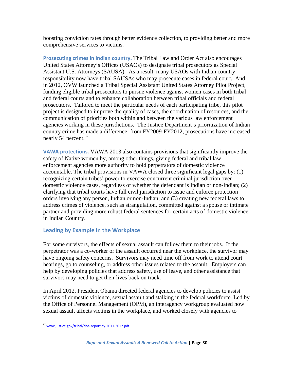boosting conviction rates through better evidence collection, to providing better and more comprehensive services to victims.

**Prosecuting crimes in Indian country.** The Tribal Law and Order Act also encourages United States Attorney's Offices (USAOs) to designate tribal prosecutors as Special Assistant U.S. Attorneys (SAUSA). As a result, many USAOs with Indian country responsibility now have tribal SAUSAs who may prosecute cases in federal court. And in 2012, OVW launched a Tribal Special Assistant United States Attorney Pilot Project, funding eligible tribal prosecutors to pursue violence against women cases in both tribal and federal courts and to enhance collaboration between tribal officials and federal prosecutors. Tailored to meet the particular needs of each participating tribe, this pilot project is designed to improve the quality of cases, the coordination of resources, and the communication of priorities both within and between the various law enforcement agencies working in these jurisdictions. The Justice Department's prioritization of Indian country crime has made a difference: from FY2009-FY2012, prosecutions have increased nearly 54 percent.<sup>87</sup>

**VAWA protections.** VAWA 2013 also contains provisions that significantly improve the safety of Native women by, among other things, giving federal and tribal law enforcement agencies more authority to hold perpetrators of domestic violence accountable. The tribal provisions in VAWA closed three significant legal gaps by: (1) recognizing certain tribes' power to exercise concurrent criminal jurisdiction over domestic violence cases, regardless of whether the defendant is Indian or non-Indian; (2) clarifying that tribal courts have full civil jurisdiction to issue and enforce protection orders involving any person, Indian or non-Indian; and (3) creating new federal laws to address crimes of violence, such as strangulation, committed against a spouse or intimate partner and providing more robust federal sentences for certain acts of domestic violence in Indian Country.

### **Leading by Example in the Workplace**

For some survivors, the effects of sexual assault can follow them to their jobs. If the perpetrator was a co-worker or the assault occurred near the workplace, the survivor may have ongoing safety concerns. Survivors may need time off from work to attend court hearings, go to counseling, or address other issues related to the assault. Employers can help by developing policies that address safety, use of leave, and other assistance that survivors may need to get their lives back on track.

In April 2012, President Obama directed federal agencies to develop policies to assist victims of domestic violence, sexual assault and stalking in the federal workforce. Led by the Office of Personnel Management (OPM), an interagency workgroup evaluated how sexual assault affects victims in the workplace, and worked closely with agencies to

 <sup>87</sup> www.justice.gov/tribal/tloa-report-cy-2011-2012.pdf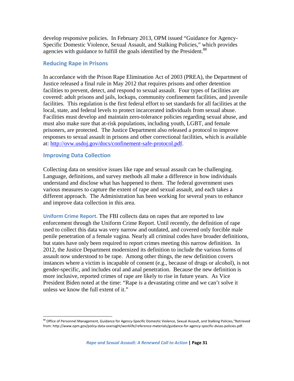develop responsive policies. In February 2013, OPM issued "Guidance for Agency-Specific Domestic Violence, Sexual Assault, and Stalking Policies," which provides agencies with guidance to fulfill the goals identified by the President.<sup>88</sup>

#### **Reducing Rape in Prisons**

In accordance with the Prison Rape Elimination Act of 2003 (PREA), the Department of Justice released a final rule in May 2012 that requires prisons and other detention facilities to prevent, detect, and respond to sexual assault. Four types of facilities are covered: adult prisons and jails, lockups, community confinement facilities, and juvenile facilities. This regulation is the first federal effort to set standards for all facilities at the local, state, and federal levels to protect incarcerated individuals from sexual abuse. Facilities must develop and maintain zero-tolerance policies regarding sexual abuse, and must also make sure that at-risk populations, including youth, LGBT, and female prisoners, are protected. The Justice Department also released a protocol to improve responses to sexual assault in prisons and other correctional facilities, which is available at: http://ovw.usdoj.gov/docs/confinement-safe-protocol.pdf.

#### **Improving Data Collection**

Collecting data on sensitive issues like rape and sexual assault can be challenging. Language, definitions, and survey methods all make a difference in how individuals understand and disclose what has happened to them. The federal government uses various measures to capture the extent of rape and sexual assault, and each takes a different approach. The Administration has been working for several years to enhance and improve data collection in this area.

**Uniform Crime Report.** The FBI collects data on rapes that are reported to law enforcement through the Uniform Crime Report. Until recently, the definition of rape used to collect this data was very narrow and outdated, and covered only forcible male penile penetration of a female vagina. Nearly all criminal codes have broader definitions, but states have only been required to report crimes meeting this narrow definition. In 2012, the Justice Department modernized its definition to include the various forms of assault now understood to be rape. Among other things, the new definition covers instances where a victim is incapable of consent (e.g., because of drugs or alcohol), is not gender-specific, and includes oral and anal penetration. Because the new definition is more inclusive, reported crimes of rape are likely to rise in future years. As Vice President Biden noted at the time: "Rape is a devastating crime and we can't solve it unless we know the full extent of it."

<sup>88</sup> Office of Personnel Management, Guidance for Agency-Specific Domestic Violence, Sexual Assault, and Stalking Policies,"Retrieved from: http://www.opm.gov/policy‐data‐oversight/worklife/reference‐materials/guidance‐for‐agency‐specific‐dvsas‐policies.pdf.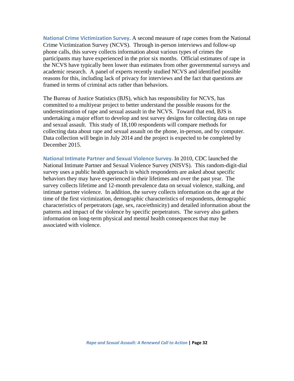**National Crime Victimization Survey**. A second measure of rape comes from the National Crime Victimization Survey (NCVS). Through in-person interviews and follow-up phone calls, this survey collects information about various types of crimes the participants may have experienced in the prior six months. Official estimates of rape in the NCVS have typically been lower than estimates from other governmental surveys and academic research. A panel of experts recently studied NCVS and identified possible reasons for this, including lack of privacy for interviews and the fact that questions are framed in terms of criminal acts rather than behaviors.

The Bureau of Justice Statistics (BJS), which has responsibility for NCVS, has committed to a multiyear project to better understand the possible reasons for the underestimation of rape and sexual assault in the NCVS. Toward that end, BJS is undertaking a major effort to develop and test survey designs for collecting data on rape and sexual assault. This study of 18,100 respondents will compare methods for collecting data about rape and sexual assault on the phone, in-person, and by computer. Data collection will begin in July 2014 and the project is expected to be completed by December 2015.

**National Intimate Partner and Sexual Violence Survey.** In 2010, CDC launched the National Intimate Partner and Sexual Violence Survey (NISVS). This random-digit-dial survey uses a public health approach in which respondents are asked about specific behaviors they may have experienced in their lifetimes and over the past year. The survey collects lifetime and 12-month prevalence data on sexual violence, stalking, and intimate partner violence. In addition, the survey collects information on the age at the time of the first victimization, demographic characteristics of respondents, demographic characteristics of perpetrators (age, sex, race/ethnicity) and detailed information about the patterns and impact of the violence by specific perpetrators. The survey also gathers information on long-term physical and mental health consequences that may be associated with violence.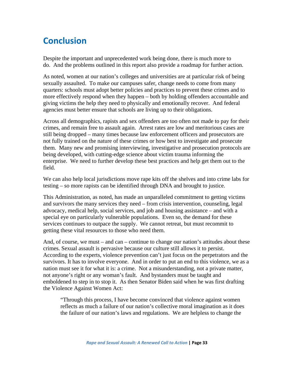# **Conclusion**

Despite the important and unprecedented work being done, there is much more to do. And the problems outlined in this report also provide a roadmap for further action.

As noted, women at our nation's colleges and universities are at particular risk of being sexually assaulted. To make our campuses safer, change needs to come from many quarters: schools must adopt better policies and practices to prevent these crimes and to more effectively respond when they happen – both by holding offenders accountable and giving victims the help they need to physically and emotionally recover. And federal agencies must better ensure that schools are living up to their obligations.

Across all demographics, rapists and sex offenders are too often not made to pay for their crimes, and remain free to assault again. Arrest rates are low and meritorious cases are still being dropped – many times because law enforcement officers and prosecutors are not fully trained on the nature of these crimes or how best to investigate and prosecute them. Many new and promising interviewing, investigative and prosecution protocols are being developed, with cutting-edge science about victim trauma informing the enterprise. We need to further develop these best practices and help get them out to the field.

We can also help local jurisdictions move rape kits off the shelves and into crime labs for testing – so more rapists can be identified through DNA and brought to justice.

This Administration, as noted, has made an unparalleled commitment to getting victims and survivors the many services they need – from crisis intervention, counseling, legal advocacy, medical help, social services, and job and housing assistance – and with a special eye on particularly vulnerable populations. Even so, the demand for these services continues to outpace the supply. We cannot retreat, but must recommit to getting these vital resources to those who need them.

And, of course, we must – and can – continue to change our nation's attitudes about these crimes. Sexual assault is pervasive because our culture still allows it to persist. According to the experts, violence prevention can't just focus on the perpetrators and the survivors. It has to involve everyone. And in order to put an end to this violence, we as a nation must see it for what it is: a crime. Not a misunderstanding, not a private matter, not anyone's right or any woman's fault. And bystanders must be taught and emboldened to step in to stop it. As then Senator Biden said when he was first drafting the Violence Against Women Act:

"Through this process, I have become convinced that violence against women reflects as much a failure of our nation's collective moral imagination as it does the failure of our nation's laws and regulations. We are helpless to change the